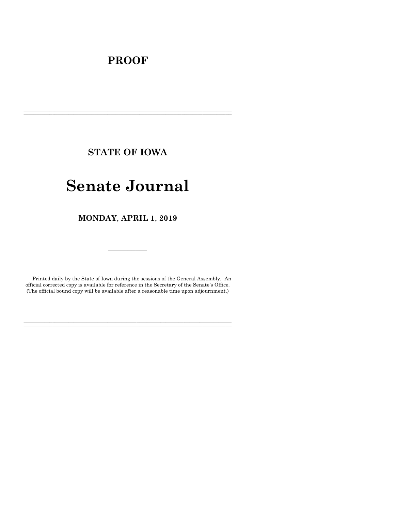# **PROOF**

**STATE OF IOWA**

**\_\_\_\_\_\_\_\_\_\_\_\_\_\_\_\_\_\_\_\_\_\_\_\_\_\_\_\_\_\_\_\_\_\_\_\_\_\_\_\_\_\_\_\_\_\_\_\_\_\_\_\_\_\_\_\_\_\_\_\_\_\_\_\_\_\_\_\_\_\_\_\_\_\_\_\_\_\_\_\_\_\_\_\_\_\_\_\_\_\_\_\_\_\_\_\_\_\_\_\_\_\_\_\_\_\_\_\_\_\_\_\_\_\_\_\_\_\_\_\_\_\_\_\_\_\_\_\_\_ \_\_\_\_\_\_\_\_\_\_\_\_\_\_\_\_\_\_\_\_\_\_\_\_\_\_\_\_\_\_\_\_\_\_\_\_\_\_\_\_\_\_\_\_\_\_\_\_\_\_\_\_\_\_\_\_\_\_\_\_\_\_\_\_\_\_\_\_\_\_\_\_\_\_\_\_\_\_\_\_\_\_\_\_\_\_\_\_\_\_\_\_\_\_\_\_\_\_\_\_\_\_\_\_\_\_\_\_\_\_\_\_\_\_\_\_\_\_\_\_\_\_\_\_\_\_\_\_\_**

# **Senate Journal**

**MONDAY**, **APRIL 1**, **2019**

Printed daily by the State of Iowa during the sessions of the General Assembly. An official corrected copy is available for reference in the Secretary of the Senate's Office. (The official bound copy will be available after a reasonable time upon adjournment.)

**\_\_\_\_\_\_\_\_\_\_\_\_\_\_\_\_\_\_\_\_\_\_\_\_\_\_\_\_\_\_\_\_\_\_\_\_\_\_\_\_\_\_\_\_\_\_\_\_\_\_\_\_\_\_\_\_\_\_\_\_\_\_\_\_\_\_\_\_\_\_\_\_\_\_\_\_\_\_\_\_\_\_\_\_\_\_\_\_\_\_\_\_\_\_\_\_\_\_\_\_\_\_\_\_\_\_\_\_\_\_\_\_\_\_\_\_\_\_\_\_\_\_\_\_\_\_\_\_\_ \_\_\_\_\_\_\_\_\_\_\_\_\_\_\_\_\_\_\_\_\_\_\_\_\_\_\_\_\_\_\_\_\_\_\_\_\_\_\_\_\_\_\_\_\_\_\_\_\_\_\_\_\_\_\_\_\_\_\_\_\_\_\_\_\_\_\_\_\_\_\_\_\_\_\_\_\_\_\_\_\_\_\_\_\_\_\_\_\_\_\_\_\_\_\_\_\_\_\_\_\_\_\_\_\_\_\_\_\_\_\_\_\_\_\_\_\_\_\_\_\_\_\_\_\_\_\_\_\_**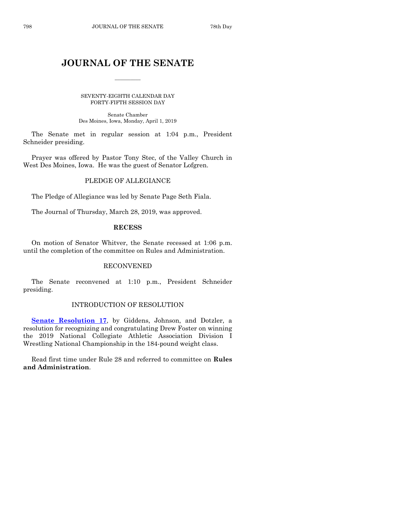# **JOURNAL OF THE SENATE**

 $\overline{\phantom{a}}$ 

SEVENTY-EIGHTH CALENDAR DAY FORTY-FIFTH SESSION DAY

Senate Chamber Des Moines, Iowa, Monday, April 1, 2019

The Senate met in regular session at 1:04 p.m., President Schneider presiding.

Prayer was offered by Pastor Tony Stec, of the Valley Church in West Des Moines, Iowa. He was the guest of Senator Lofgren.

# PLEDGE OF ALLEGIANCE

The Pledge of Allegiance was led by Senate Page Seth Fiala.

The Journal of Thursday, March 28, 2019, was approved.

#### **RECESS**

On motion of Senator Whitver, the Senate recessed at 1:06 p.m. until the completion of the committee on Rules and Administration.

#### RECONVENED

The Senate reconvened at 1:10 p.m., President Schneider presiding.

#### INTRODUCTION OF RESOLUTION

**[Senate Resolution 17](https://www.legis.iowa.gov/legislation/BillBook?ga=88&ba=SR17)**, by Giddens, Johnson, and Dotzler, a resolution for recognizing and congratulating Drew Foster on winning the 2019 National Collegiate Athletic Association Division I Wrestling National Championship in the 184-pound weight class.

Read first time under Rule 28 and referred to committee on **Rules and Administration**.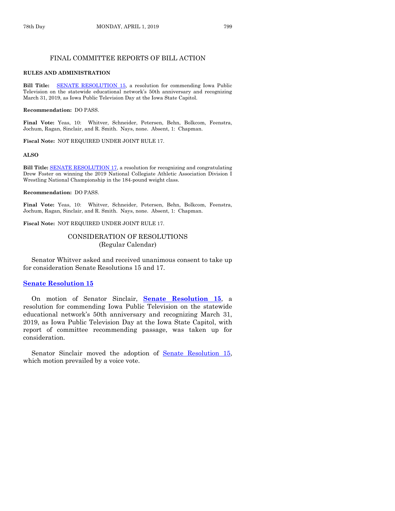#### FINAL COMMITTEE REPORTS OF BILL ACTION

#### **RULES AND ADMINISTRATION**

**Bill Title:** [SENATE RESOLUTION](https://www.legis.iowa.gov/legislation/BillBook?ga=88&ba=SR15) 15, a resolution for commending Iowa Public Television on the statewide educational network's 50th anniversary and recognizing March 31, 2019, as Iowa Public Television Day at the Iowa State Capitol.

#### **Recommendation:** DO PASS.

**Final Vote:** Yeas, 10: Whitver, Schneider, Petersen, Behn, Bolkcom, Feenstra, Jochum, Ragan, Sinclair, and R. Smith. Nays, none. Absent, 1: Chapman.

**Fiscal Note:** NOT REQUIRED UNDER JOINT RULE 17.

#### **ALSO**

**Bill Title:** [SENATE RESOLUTION](https://www.legis.iowa.gov/legislation/BillBook?ga=88&ba=SR17) 17, a resolution for recognizing and congratulating Drew Foster on winning the 2019 National Collegiate Athletic Association Division I Wrestling National Championship in the 184-pound weight class.

#### **Recommendation:** DO PASS.

**Final Vote:** Yeas, 10: Whitver, Schneider, Petersen, Behn, Bolkcom, Feenstra, Jochum, Ragan, Sinclair, and R. Smith. Nays, none. Absent, 1: Chapman.

**Fiscal Note:** NOT REQUIRED UNDER JOINT RULE 17.

### CONSIDERATION OF RESOLUTIONS (Regular Calendar)

Senator Whitver asked and received unanimous consent to take up for consideration Senate Resolutions 15 and 17.

#### **[Senate Resolution 15](https://www.legis.iowa.gov/legislation/BillBook?ga=88&ba=SR15)**

On motion of Senator Sinclair, **Senate [Resolution 15](https://www.legis.iowa.gov/legislation/BillBook?ga=88&ba=SR15)**, a resolution for commending Iowa Public Television on the statewide educational network's 50th anniversary and recognizing March 31, 2019, as Iowa Public Television Day at the Iowa State Capitol, with report of committee recommending passage, was taken up for consideration.

Senator Sinclair moved the adoption of [Senate Resolution 15,](https://www.legis.iowa.gov/legislation/BillBook?ga=88&ba=SR15) which motion prevailed by a voice vote.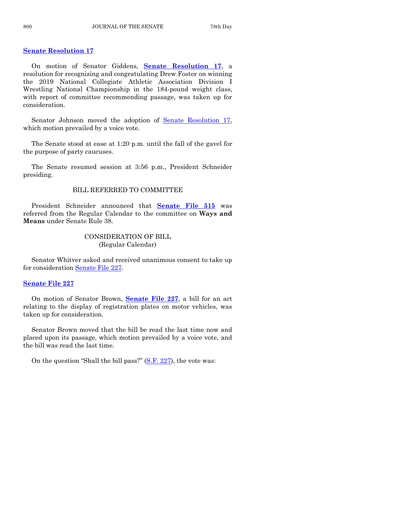# **[Senate Resolution 17](https://www.legis.iowa.gov/legislation/BillBook?ga=88&ba=SR17)**

On motion of Senator Giddens, **Senate [Resolution 17](https://www.legis.iowa.gov/legislation/BillBook?ga=88&ba=SR17)**, a resolution for recognizing and congratulating Drew Foster on winning the 2019 National Collegiate Athletic Association Division I Wrestling National Championship in the 184-pound weight class, with report of committee recommending passage, was taken up for consideration.

Senator Johnson moved the adoption of [Senate Resolution 17,](https://www.legis.iowa.gov/legislation/BillBook?ga=88&ba=SR17) which motion prevailed by a voice vote.

The Senate stood at ease at 1:20 p.m. until the fall of the gavel for the purpose of party caucuses.

The Senate resumed session at 3:56 p.m., President Schneider presiding.

# BILL REFERRED TO COMMITTEE

President Schneider announced that **[Senate File 515](https://www.legis.iowa.gov/legislation/BillBook?ga=88&ba=SF515)** was referred from the Regular Calendar to the committee on **Ways and Means** under Senate Rule 38.

# CONSIDERATION OF BILL (Regular Calendar)

Senator Whitver asked and received unanimous consent to take up for consideration [Senate File 227.](https://www.legis.iowa.gov/legislation/BillBook?ga=88&ba=SF227)

#### **[Senate File 227](https://www.legis.iowa.gov/legislation/BillBook?ga=88&ba=SF227)**

On motion of Senator Brown, **[Senate File 227](https://www.legis.iowa.gov/legislation/BillBook?ga=88&ba=SF227)**, a bill for an act relating to the display of registration plates on motor vehicles, was taken up for consideration.

Senator Brown moved that the bill be read the last time now and placed upon its passage, which motion prevailed by a voice vote, and the bill was read the last time.

On the question "Shall the bill pass?" [\(S.F. 227\)](https://www.legis.iowa.gov/legislation/BillBook?ga=88&ba=SF227), the vote was: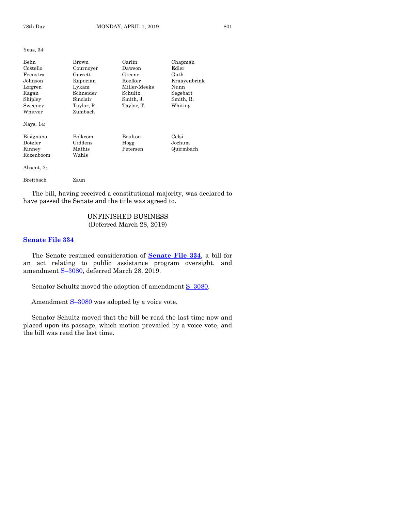Yeas, 34:

| <b>Behn</b><br>Costello<br>Feenstra<br>Johnson<br>Lofgren<br>Ragan<br>Shipley<br>Sweeney<br>Whitver | Brown<br>Cournover<br>Garrett<br>Kapucian<br>Lykam<br>Schneider<br>Sinclair<br>Taylor, R.<br>Zumbach | Carlin<br>Dawson<br>Greene<br>Koelker<br>Miller Meeks<br>Schultz<br>Smith, J.<br>Taylor, T. | Chapman<br>Edler<br>Guth<br>Kraayenbrink<br>Nunn<br>Segebart<br>Smith, R.<br>Whiting |
|-----------------------------------------------------------------------------------------------------|------------------------------------------------------------------------------------------------------|---------------------------------------------------------------------------------------------|--------------------------------------------------------------------------------------|
| Nays, 14:<br>Bisignano<br>Dotzler<br>Kinney<br>Rozenboom<br>Absent, 2:                              | Bolkcom<br>Giddens<br>Mathis<br>Wahls                                                                | Boulton<br>Hogg<br>Petersen                                                                 | Celsi<br>Jochum<br>Quirmbach                                                         |
| Breitbach                                                                                           | Zaun                                                                                                 |                                                                                             |                                                                                      |

The bill, having received a constitutional majority, was declared to have passed the Senate and the title was agreed to.

# UNFINISHED BUSINESS (Deferred March 28, 2019)

#### **[Senate File 334](https://www.legis.iowa.gov/legislation/BillBook?ga=88&ba=SF334)**

The Senate resumed consideration of **[Senate File 334](https://www.legis.iowa.gov/legislation/BillBook?ga=88&ba=SF334)**, a bill for an act relating to public assistance program oversight, and amendment S–[3080,](https://www.legis.iowa.gov/legislation/BillBook?ga=88&ba=S3080) deferred March 28, 2019.

Senator Schultz moved the adoption of amendment  $S-3080$ .

Amendment S-[3080](https://www.legis.iowa.gov/legislation/BillBook?ga=88&ba=S3080) was adopted by a voice vote.

Senator Schultz moved that the bill be read the last time now and placed upon its passage, which motion prevailed by a voice vote, and the bill was read the last time.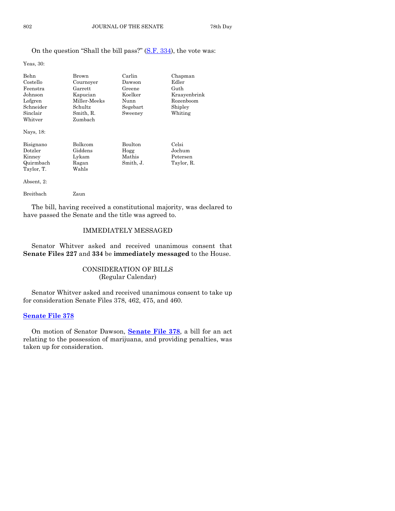# On the question "Shall the bill pass?" [\(S.F. 334\)](https://www.legis.iowa.gov/legislation/BillBook?ga=88&ba=SF334), the vote was:

Yeas, 30:

| Behn<br>Costello<br>Feenstra<br>Johnson<br>Lofgren<br>Schneider<br>Sinclair<br>$\operatorname{Whitver}$<br>Nays, 18: | Brown<br>Cournoyer<br>Garrett<br>Kapucian<br>Miller-Meeks<br>Schultz<br>Smith, R.<br>Zumbach | Carlin<br>Dawson<br>Greene<br>Koelker<br>Nunn<br>Segebart<br>Sweeney | Chapman<br>Edler<br>Guth<br>Kraavenbrink<br>Rozenboom<br>Shipley<br>Whiting |
|----------------------------------------------------------------------------------------------------------------------|----------------------------------------------------------------------------------------------|----------------------------------------------------------------------|-----------------------------------------------------------------------------|
| Bisignano<br>Dotzler<br>Kinney<br>Quirmbach<br>Taylor, T.<br>Absent, 2:                                              | <b>Bolkcom</b><br>Giddens<br>Lykam<br>Ragan<br>Wahls                                         | <b>Boulton</b><br>Hogg<br>Mathis<br>Smith, J.                        | Celsi<br>Jochum<br>Petersen<br>Taylor, R.                                   |

Breitbach Zaun

The bill, having received a constitutional majority, was declared to have passed the Senate and the title was agreed to.

# IMMEDIATELY MESSAGED

Senator Whitver asked and received unanimous consent that **Senate Files 227** and **334** be **immediately messaged** to the House.

# CONSIDERATION OF BILLS (Regular Calendar)

Senator Whitver asked and received unanimous consent to take up for consideration Senate Files 378, 462, 475, and 460.

#### **[Senate File 378](https://www.legis.iowa.gov/legislation/BillBook?ga=88&ba=SF378)**

On motion of Senator Dawson, **[Senate File 378](https://www.legis.iowa.gov/legislation/BillBook?ga=88&ba=SF378)**, a bill for an act relating to the possession of marijuana, and providing penalties, was taken up for consideration.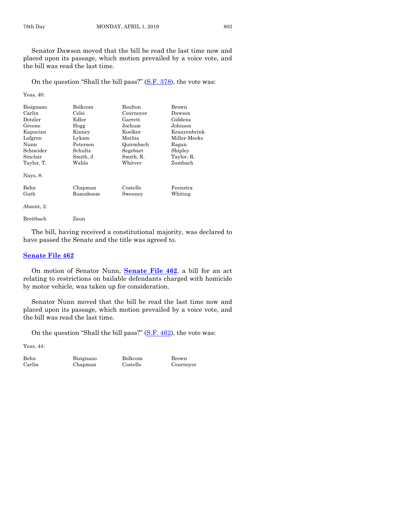Senator Dawson moved that the bill be read the last time now and placed upon its passage, which motion prevailed by a voice vote, and the bill was read the last time.

On the question "Shall the bill pass?" [\(S.F. 378\)](https://www.legis.iowa.gov/legislation/BillBook?ga=88&ba=SF378), the vote was:

Yeas, 40:

| Bisignano                          | Bolkcom            | Boulton              | Brown                 |
|------------------------------------|--------------------|----------------------|-----------------------|
| Carlin                             | Celsi              | Cournoyer            | Dawson                |
| $_{\rm Dotzler}$                   | $_{\rm Edler}$     | Garrett              | Giddens               |
| Greene                             | Hogg               | Jochum               | Johnson               |
| Kapucian                           | Kinney             | Koelker              | Kraavenbrink          |
| Lofgren                            | Lykam              | Mathis               | Miller-Meeks          |
| Nunn                               | Petersen           | Quirmbach            | Ragan                 |
| Schneider                          | Schultz            | Segebart             | Shipley               |
| Sinclair<br>Taylor, T.<br>Nays, 8: | Smith, J.<br>Wahls | Smith, R.<br>Whitver | Taylor, R.<br>Zumbach |
| Behn                               | Chapman            | Costello             | Feenstra              |
| Guth                               | Rozenboom          | Sweeney              | Whiting               |
| Absent, 2:                         |                    |                      |                       |

Breitbach Zaun

The bill, having received a constitutional majority, was declared to have passed the Senate and the title was agreed to.

#### **[Senate File 462](https://www.legis.iowa.gov/legislation/BillBook?ga=88&ba=SF462)**

On motion of Senator Nunn, **[Senate File 462](https://www.legis.iowa.gov/legislation/BillBook?ga=88&ba=SF462)**, a bill for an act relating to restrictions on bailable defendants charged with homicide by motor vehicle, was taken up for consideration.

Senator Nunn moved that the bill be read the last time now and placed upon its passage, which motion prevailed by a voice vote, and the bill was read the last time.

On the question "Shall the bill pass?" [\(S.F. 462\)](https://www.legis.iowa.gov/legislation/BillBook?ga=88&ba=SF462), the vote was:

Yeas, 44:

Behn Bisignano Bolkcom Brown Carlin Chapman Costello Cournoyer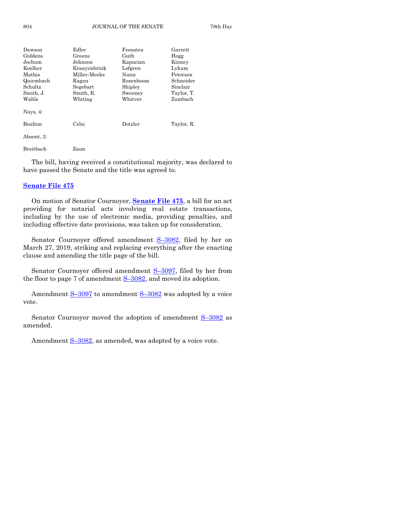| Dawson      | Edler        | Feenstra  | Garrett    |
|-------------|--------------|-----------|------------|
| Giddens     | Greene       | Guth      | Hogg       |
| Jochum      | Johnson      | Kapucian  | Kinney     |
| Koelker     | Kraavenbrink | Lofgren   | Lykam      |
| Mathis      | Miller-Meeks | Nunn      | Petersen   |
| Quirmbach   | Ragan        | Rozenboom | Schneider  |
| Schultz     | Segebart     | Shipley   | Sinclair   |
| Smith, J.   | Smith, R.    | Sweeney   | Taylor, T. |
| Wahls       | Whiting      | Whitver   | Zumbach    |
| Nays, $4$ : |              |           |            |
| Boulton     | Celsi        | Dotzler   | Taylor, R. |
| Absent, 2:  |              |           |            |
| Breitbach   | Zaun         |           |            |

The bill, having received a constitutional majority, was declared to have passed the Senate and the title was agreed to.

#### **[Senate File 475](https://www.legis.iowa.gov/legislation/BillBook?ga=88&ba=SF475)**

On motion of Senator Cournoyer, **[Senate File 475](https://www.legis.iowa.gov/legislation/BillBook?ga=88&ba=SF475)**, a bill for an act providing for notarial acts involving real estate transactions, including by the use of electronic media, providing penalties, and including effective date provisions, was taken up for consideration.

Senator Cournoyer offered amendment S–[3082,](https://www.legis.iowa.gov/legislation/BillBook?ga=88&ba=S3082) filed by her on March 27, 2019, striking and replacing everything after the enacting clause and amending the title page of the bill.

Senator Cournoyer offered amendment S–[3097,](https://www.legis.iowa.gov/legislation/BillBook?ga=88&ba=S3097) filed by her from the floor to page 7 of amendment  $S-3082$ , and moved its adoption.

Amendment S-[3097](https://www.legis.iowa.gov/legislation/BillBook?ga=88&ba=S3097) to amendment S-[3082](https://www.legis.iowa.gov/legislation/BillBook?ga=88&ba=S3082) was adopted by a voice vote.

Senator Cournoyer moved the adoption of amendment  $S-3082$  $S-3082$  as amended.

Amendment S-[3082,](https://www.legis.iowa.gov/legislation/BillBook?ga=88&ba=S3082) as amended, was adopted by a voice vote.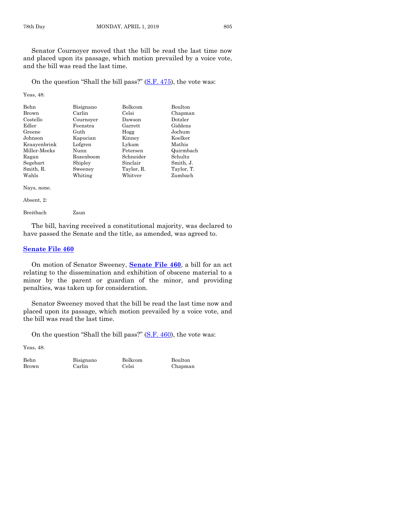Senator Cournoyer moved that the bill be read the last time now and placed upon its passage, which motion prevailed by a voice vote, and the bill was read the last time.

On the question "Shall the bill pass?" [\(S.F. 475\)](https://www.legis.iowa.gov/legislation/BillBook?ga=88&ba=SF475), the vote was:

Yeas, 48:

| Behn         | Bisignano | Bolkcom    | Boulton    |
|--------------|-----------|------------|------------|
| Brown        | Carlin    | Celsi      | Chapman    |
| Costello     | Cournoyer | Dawson     | Dotzler    |
| Edler        | Feenstra  | Garrett    | Giddens    |
| Greene       | Guth      | Hogg       | Jochum     |
| Johnson      | Kapucian  | Kinney     | Koelker    |
| Kraayenbrink | Lofgren   | Lykam      | Mathis     |
| Miller-Meeks | Nunn      | Petersen   | Quirmbach  |
| Ragan        | Rozenboom | Schneider  | Schultz    |
| Segebart     | Shipley   | Sinclair   | Smith, J.  |
| Smith, R.    | Sweeney   | Taylor, R. | Taylor, T. |
| Wahls        | Whiting   | Whitver    | Zumbach    |

Nays, none.

Absent, 2:

Breitbach Zaun

The bill, having received a constitutional majority, was declared to have passed the Senate and the title, as amended, was agreed to.

### **[Senate File 460](https://www.legis.iowa.gov/legislation/BillBook?ga=88&ba=SF460)**

On motion of Senator Sweeney, **[Senate File 460](https://www.legis.iowa.gov/legislation/BillBook?ga=88&ba=SF460)**, a bill for an act relating to the dissemination and exhibition of obscene material to a minor by the parent or guardian of the minor, and providing penalties, was taken up for consideration.

Senator Sweeney moved that the bill be read the last time now and placed upon its passage, which motion prevailed by a voice vote, and the bill was read the last time.

On the question "Shall the bill pass?" [\(S.F. 460\)](https://www.legis.iowa.gov/legislation/BillBook?ga=88&ba=SF460), the vote was:

Yeas, 48:

Behn Bisignano Bolkcom Boulton Brown Carlin Celsi Chapman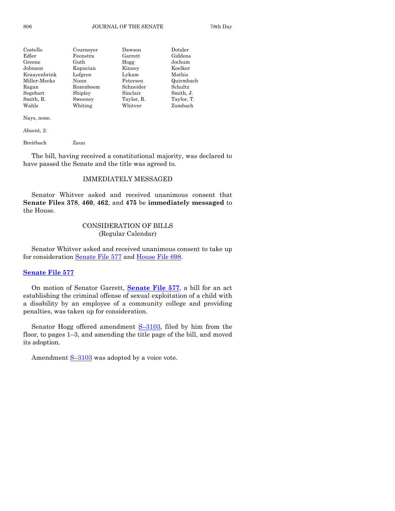| Costello     | Cournoyer | Dawson     | Dotzler    |
|--------------|-----------|------------|------------|
| Edler        | Feenstra  | Garrett    | Giddens    |
| Greene       | Guth      | Hogg       | Jochum     |
| Johnson      | Kapucian  | Kinney     | Koelker    |
| Kraayenbrink | Lofgren   | Lykam      | Mathis     |
| Miller-Meeks | Nunn      | Petersen   | Quirmbach  |
| Ragan        | Rozenboom | Schneider  | Schultz    |
| Segebart     | Shipley   | Sinclair   | Smith, J.  |
| Smith, R.    | Sweeney   | Taylor, R. | Taylor, T. |
| Wahls        | Whiting   | Whitver    | Zumbach    |

Nays, none.

Absent, 2:

Breitbach Zaun

The bill, having received a constitutional majority, was declared to have passed the Senate and the title was agreed to.

# IMMEDIATELY MESSAGED

Senator Whitver asked and received unanimous consent that **Senate Files 378**, **460**, **462**, and **475** be **immediately messaged** to the House.

# CONSIDERATION OF BILLS (Regular Calendar)

Senator Whitver asked and received unanimous consent to take up for consideration [Senate File 577](https://www.legis.iowa.gov/legislation/BillBook?ga=88&ba=SF577) and [House File 698.](https://www.legis.iowa.gov/legislation/BillBook?ga=88&ba=HF698)

# **[Senate File 577](https://www.legis.iowa.gov/legislation/BillBook?ga=88&ba=SF577)**

On motion of Senator Garrett, **[Senate File 577](https://www.legis.iowa.gov/legislation/BillBook?ga=88&ba=SF577)**, a bill for an act establishing the criminal offense of sexual exploitation of a child with a disability by an employee of a community college and providing penalties, was taken up for consideration.

Senator Hogg offered amendment  $S-3103$ , filed by him from the floor, to pages 1–3, and amending the title page of the bill, and moved its adoption.

Amendment S-[3103](https://www.legis.iowa.gov/legislation/BillBook?ga=88&ba=S3103) was adopted by a voice vote.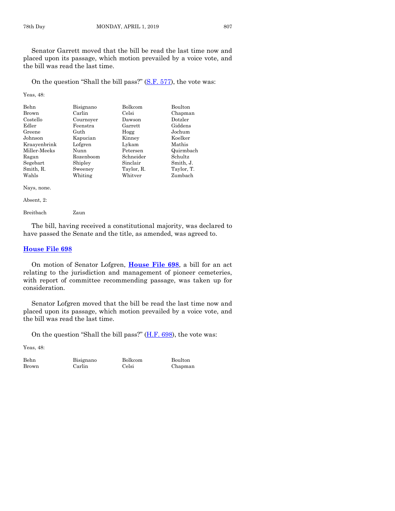Senator Garrett moved that the bill be read the last time now and placed upon its passage, which motion prevailed by a voice vote, and the bill was read the last time.

On the question "Shall the bill pass?" [\(S.F. 577\)](https://www.legis.iowa.gov/legislation/BillBook?ga=88&ba=SF577), the vote was:

Yeas, 48:

| Behn         | Bisignano | <b>Bolkcom</b> | <b>Boulton</b> |
|--------------|-----------|----------------|----------------|
| Brown        | Carlin    | Celsi          | Chapman        |
| Costello     | Cournoyer | Dawson         | Dotzler        |
| Edler        | Feenstra  | Garrett        | Giddens        |
| Greene       | Guth      | Hogg           | Jochum         |
| Johnson      | Kapucian  | Kinney         | Koelker        |
| Kraayenbrink | Lofgren   | Lykam          | Mathis         |
| Miller-Meeks | Nunn      | Petersen       | Quirmbach      |
| Ragan        | Rozenboom | Schneider      | Schultz        |
| Segebart     | Shipley   | Sinclair       | Smith, J.      |
| Smith, R.    | Sweeney   | Taylor, R.     | Taylor, T.     |
| Wahls        | Whiting   | Whitver        | Zumbach        |

Nays, none.

Absent, 2:

Breitbach Zaun

The bill, having received a constitutional majority, was declared to have passed the Senate and the title, as amended, was agreed to.

### **[House File 698](https://www.legis.iowa.gov/legislation/BillBook?ga=88&ba=HF698)**

On motion of Senator Lofgren, **[House File 698](https://www.legis.iowa.gov/legislation/BillBook?ga=88&ba=HF698)**, a bill for an act relating to the jurisdiction and management of pioneer cemeteries, with report of committee recommending passage, was taken up for consideration.

Senator Lofgren moved that the bill be read the last time now and placed upon its passage, which motion prevailed by a voice vote, and the bill was read the last time.

On the question "Shall the bill pass?"  $(H.F. 698)$ , the vote was:

Yeas, 48:

Behn Bisignano Bolkcom Boulton Brown Carlin Celsi Chapman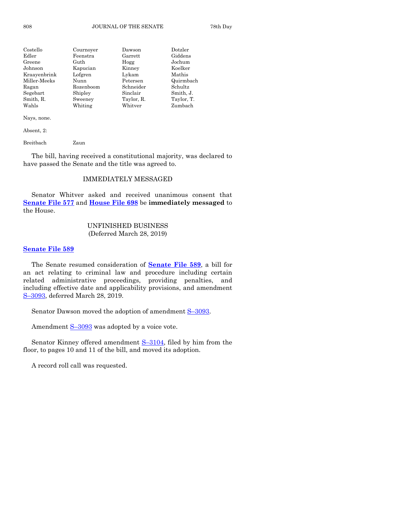| Costello     | Cournover | Dawson     | Dotzler    |
|--------------|-----------|------------|------------|
| Edler        | Feenstra  | Garrett    | Giddens    |
| Greene       | Guth      | Hogg       | Jochum     |
| Johnson      | Kapucian  | Kinney     | Koelker    |
| Kraayenbrink | Lofgren   | Lykam      | Mathis     |
| Miller-Meeks | Nunn      | Petersen   | Quirmbach  |
| Ragan        | Rozenboom | Schneider  | Schultz    |
| Segebart     | Shipley   | Sinclair   | Smith, J.  |
| Smith, R.    | Sweeney   | Taylor, R. | Taylor, T. |
| Wahls        | Whiting   | Whitver    | Zumbach    |

Nays, none.

Absent, 2:

Breitbach Zaun

The bill, having received a constitutional majority, was declared to have passed the Senate and the title was agreed to.

# IMMEDIATELY MESSAGED

Senator Whitver asked and received unanimous consent that **[Senate File 577](https://www.legis.iowa.gov/legislation/BillBook?ga=88&ba=SF577)** and **[House File 698](https://www.legis.iowa.gov/legislation/BillBook?ga=88&ba=HF698)** be **immediately messaged** to the House.

# UNFINISHED BUSINESS (Deferred March 28, 2019)

#### **[Senate File 589](https://www.legis.iowa.gov/legislation/BillBook?ga=88&ba=SF589)**

The Senate resumed consideration of **[Senate File 589](https://www.legis.iowa.gov/legislation/BillBook?ga=88&ba=SF589)**, a bill for an act relating to criminal law and procedure including certain related administrative proceedings, providing penalties, and including effective date and applicability provisions, and amendment S–[3093,](https://www.legis.iowa.gov/legislation/BillBook?ga=88&ba=S3093) deferred March 28, 2019.

Senator Dawson moved the adoption of amendment S-[3093.](https://www.legis.iowa.gov/legislation/BillBook?ga=88&ba=S3093)

Amendment  $S-3093$  $S-3093$  was adopted by a voice vote.

Senator Kinney offered amendment S–[3104,](https://www.legis.iowa.gov/legislation/BillBook?ga=88&ba=S3104) filed by him from the floor, to pages 10 and 11 of the bill, and moved its adoption.

A record roll call was requested.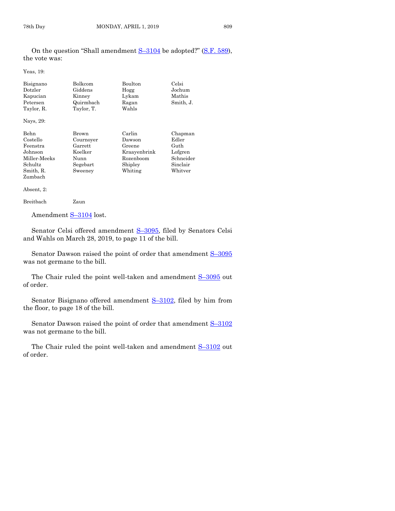On the question "Shall amendment  $S-3104$  $S-3104$  be adopted?" ([S.F. 589\)](https://www.legis.iowa.gov/legislation/BillBook?ga=88&ba=SF589), the vote was:

Yeas, 19:

| Bisignano  | Bolkcom    | Boulton      | Celsi     |
|------------|------------|--------------|-----------|
| Dotzler    | Giddens    | Hogg         | Jochum    |
| Kapucian   | Kinney     | Lykam        | Mathis    |
| Petersen   | Quirmbach  | Ragan        | Smith, J. |
| Taylor, R. | Taylor, T. | Wahls        |           |
| Nays, 29:  |            |              |           |
| Behn       | Brown      | Carlin       | Chapman   |
| Costello   | Cournoyer  | Dawson       | Edler     |
| Feenstra   | Garrett    | Greene       | Guth      |
| Johnson    | Koelker    | Kraavenbrink | Lofgren   |

Miller-Meeks Nunn Rozenboom Schneider Schultz Segebart Shipley Sinclair<br>Smith, R. Sweeney Whiting Whitver Smith, R. Sweeney Whiting Zumbach

Absent, 2:

```
Breitbach Zaun
```
Amendment S-[3104](https://www.legis.iowa.gov/legislation/BillBook?ga=88&ba=S3104) lost.

Senator Celsi offered amendment S-[3095,](https://www.legis.iowa.gov/legislation/BillBook?ga=88&ba=S3095) filed by Senators Celsi and Wahls on March 28, 2019, to page 11 of the bill.

Senator Dawson raised the point of order that amendment  $S-3095$  $S-3095$ was not germane to the bill.

The Chair ruled the point well-taken and amendment  $S-3095$  $S-3095$  out of order.

Senator Bisignano offered amendment S–[3102,](https://www.legis.iowa.gov/legislation/BillBook?ga=88&ba=S3102) filed by him from the floor, to page 18 of the bill.

Senator Dawson raised the point of order that amendment  $S-3102$  $S-3102$ was not germane to the bill.

The Chair ruled the point well-taken and amendment  $S-3102$  $S-3102$  out of order.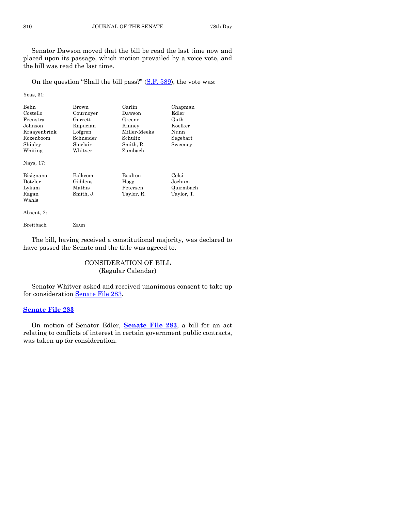Senator Dawson moved that the bill be read the last time now and placed upon its passage, which motion prevailed by a voice vote, and the bill was read the last time.

On the question "Shall the bill pass?" [\(S.F. 589\)](https://www.legis.iowa.gov/legislation/BillBook?ga=88&ba=SF589), the vote was:

Yeas, 31:

| Behn<br>Costello<br>Feenstra<br>Johnson<br>Kraayenbrink<br>Rozenboom<br>Shipley<br>Whiting<br>Nays, 17: | Brown<br>Cournoyer<br>Garrett<br>Kapucian<br>Lofgren<br>Schneider<br>Sinclair<br>Whitver | Carlin<br>Dawson<br>Greene<br>Kinnev<br>Miller Meeks<br>Schultz<br>Smith, R.<br>Zumbach | Chapman<br>Edler<br>Guth<br>Koelker<br>Nunn<br>Segebart<br>Sweeney |
|---------------------------------------------------------------------------------------------------------|------------------------------------------------------------------------------------------|-----------------------------------------------------------------------------------------|--------------------------------------------------------------------|
| Bisignano<br>Dotzler<br>Lykam<br>Ragan<br>Wahls                                                         | <b>Bolkcom</b><br>Giddens<br>Mathis<br>Smith, J.                                         | <b>Boulton</b><br>Hogg<br>Petersen<br>Taylor, R.                                        | Celsi<br>Jochum<br>Quirmbach<br>Taylor, T.                         |

Absent, 2:

Breitbach Zaun

The bill, having received a constitutional majority, was declared to have passed the Senate and the title was agreed to.

# CONSIDERATION OF BILL (Regular Calendar)

Senator Whitver asked and received unanimous consent to take up for consideration [Senate File 283.](https://www.legis.iowa.gov/legislation/BillBook?ga=88&ba=SF283)

#### **[Senate File 283](https://www.legis.iowa.gov/legislation/BillBook?ga=88&ba=SF283)**

On motion of Senator Edler, **[Senate File 283](https://www.legis.iowa.gov/legislation/BillBook?ga=88&ba=SF283)**, a bill for an act relating to conflicts of interest in certain government public contracts, was taken up for consideration.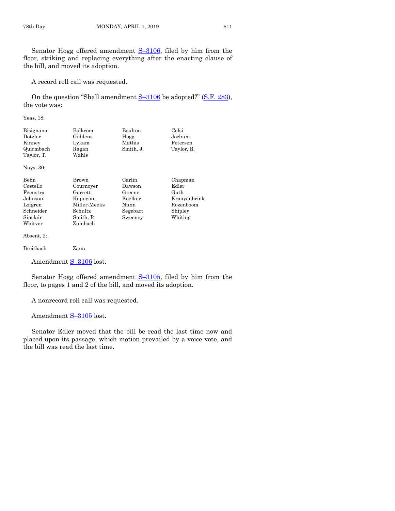Senator Hogg offered amendment S–[3106,](https://www.legis.iowa.gov/legislation/BillBook?ga=88&ba=S3106) filed by him from the floor, striking and replacing everything after the enacting clause of the bill, and moved its adoption.

A record roll call was requested.

On the question "Shall amendment  $S-3106$  $S-3106$  be adopted?" ([S.F. 283\)](https://www.legis.iowa.gov/legislation/BillBook?ga=88&ba=SF283), the vote was:

Yeas, 18:

| Bolkcom | Boulton   | Celsi      |
|---------|-----------|------------|
| Giddens | Hogg      | Jochum     |
| Lykam   | Mathis    | Petersen   |
| Ragan   | Smith, J. | Taylor, R. |
| Wahls   |           |            |
|         |           |            |
|         |           |            |

Nays, 30:

Behn Brown Carlin Chapman Whitver Zumbach

Costello Cournoyer Dawson Edler Feenstra Garrett Greene Guth Johnson Kapucian Koelker Kraayenbrink Lofgren Miller-Meeks Nunn Rozenboom Schneider Schultz Segebart Shipley Sinclair Smith, R. Sweeney Whiting

Absent, 2:

Breitbach Zaun

Amendment S-[3106](https://www.legis.iowa.gov/legislation/BillBook?ga=88&ba=S3106) lost.

Senator Hogg offered amendment  $S-3105$ , filed by him from the floor, to pages 1 and 2 of the bill, and moved its adoption.

A nonrecord roll call was requested.

Amendment S-[3105](https://www.legis.iowa.gov/legislation/BillBook?ga=88&ba=S3105) lost.

Senator Edler moved that the bill be read the last time now and placed upon its passage, which motion prevailed by a voice vote, and the bill was read the last time.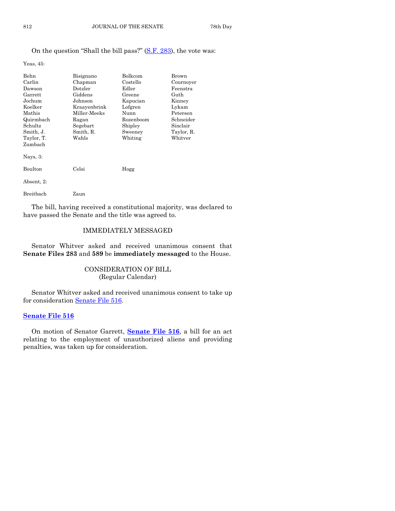# On the question "Shall the bill pass?" ([S.F. 283\)](https://www.legis.iowa.gov/legislation/BillBook?ga=88&ba=SF283), the vote was:

Yeas, 45:

| Behn<br>Carlin<br>Dawson<br>Garrett<br>Jochum<br>Koelker<br>Mathis<br>Quirmbach<br>Schultz<br>Smith, J. | Bisignano<br>Chapman<br>Dotzler<br>Giddens<br>Johnson<br>Kraavenbrink<br>Miller-Meeks<br>Ragan<br>Segebart<br>Smith, R. | Bolkcom<br>Costello<br>Edler<br>Greene<br>Kapucian<br>Lofgren<br>Nunn<br>Rozenboom<br>Shipley<br>Sweeney | Brown<br>Cournoyer<br>Feenstra<br>Guth<br>Kinney<br>Lykam<br>Petersen<br>Schneider<br>Sinclair<br>Taylor, R. |
|---------------------------------------------------------------------------------------------------------|-------------------------------------------------------------------------------------------------------------------------|----------------------------------------------------------------------------------------------------------|--------------------------------------------------------------------------------------------------------------|
| Taylor, T.<br>Zumbach<br>Nays, $3$ :                                                                    | Wahls                                                                                                                   | Whiting                                                                                                  | Whitver                                                                                                      |
| Boulton<br>Absent, 2:                                                                                   | $\operatorname{Celsi}$                                                                                                  | Hogg                                                                                                     |                                                                                                              |
| Breitbach                                                                                               | Zaun                                                                                                                    |                                                                                                          |                                                                                                              |

The bill, having received a constitutional majority, was declared to have passed the Senate and the title was agreed to.

# IMMEDIATELY MESSAGED

Senator Whitver asked and received unanimous consent that **Senate Files 283** and **589** be **immediately messaged** to the House.

# CONSIDERATION OF BILL (Regular Calendar)

Senator Whitver asked and received unanimous consent to take up for consideration [Senate File 516.](https://www.legis.iowa.gov/legislation/BillBook?ga=88&ba=SF516)

# **[Senate File 516](https://www.legis.iowa.gov/legislation/BillBook?ga=88&ba=SF516)**

On motion of Senator Garrett, **[Senate File 516](https://www.legis.iowa.gov/legislation/BillBook?ga=88&ba=SF516)**, a bill for an act relating to the employment of unauthorized aliens and providing penalties, was taken up for consideration.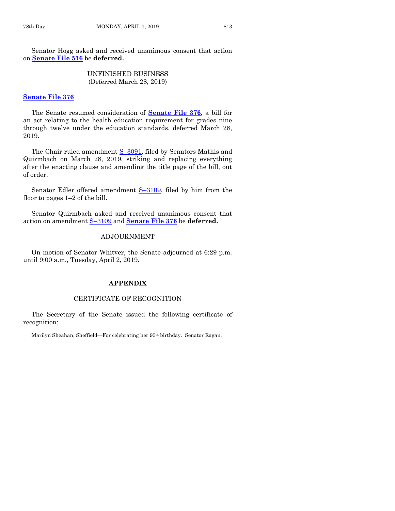Senator Hogg asked and received unanimous consent that action on **[Senate File 516](https://www.legis.iowa.gov/legislation/BillBook?ga=88&ba=SF516)** be **deferred.**

> UNFINISHED BUSINESS (Deferred March 28, 2019)

#### **[Senate File 376](https://www.legis.iowa.gov/legislation/BillBook?ga=88&ba=SF376)**

The Senate resumed consideration of **[Senate File 376](https://www.legis.iowa.gov/legislation/BillBook?ga=88&ba=SF376)**, a bill for an act relating to the health education requirement for grades nine through twelve under the education standards, deferred March 28, 2019.

The Chair ruled amendment S-[3091,](https://www.legis.iowa.gov/legislation/BillBook?ga=88&ba=S3091) filed by Senators Mathis and Quirmbach on March 28, 2019, striking and replacing everything after the enacting clause and amending the title page of the bill, out of order.

Senator Edler offered amendment S–[3109,](https://www.legis.iowa.gov/legislation/BillBook?ga=88&ba=S3109) filed by him from the floor to pages 1–2 of the bill.

Senator Quirmbach asked and received unanimous consent that action on amendment S–[3109](https://www.legis.iowa.gov/legislation/BillBook?ga=88&ba=S3109) and **[Senate File 376](https://www.legis.iowa.gov/legislation/BillBook?ga=88&ba=SF376)** be **deferred.**

# ADJOURNMENT

On motion of Senator Whitver, the Senate adjourned at 6:29 p.m. until 9:00 a.m., Tuesday, April 2, 2019.

#### **APPENDIX**

# CERTIFICATE OF RECOGNITION

The Secretary of the Senate issued the following certificate of recognition:

Marilyn Sheahan, Sheffield—For celebrating her 90<sup>th</sup> birthday. Senator Ragan.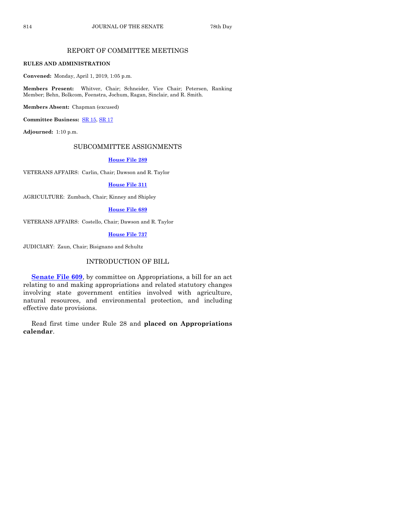# REPORT OF COMMITTEE MEETINGS

#### **RULES AND ADMINISTRATION**

**Convened:** Monday, April 1, 2019, 1:05 p.m.

**Members Present:** Whitver, Chair; Schneider, Vice Chair; Petersen, Ranking Member; Behn, Bolkcom, Feenstra, Jochum, Ragan, Sinclair, and R. Smith.

**Members Absent:** Chapman (excused)

**Committee Business:** [SR 15,](https://www.legis.iowa.gov/legislation/BillBook?ga=88&ba=SR15) [SR 17](https://www.legis.iowa.gov/legislation/BillBook?ga=88&ba=SR17)

**Adjourned:** 1:10 p.m.

#### SUBCOMMITTEE ASSIGNMENTS

#### **[House File 289](https://www.legis.iowa.gov/legislation/BillBook?ga=88&ba=HF289)**

VETERANS AFFAIRS: Carlin, Chair; Dawson and R. Taylor

### **[House File 311](https://www.legis.iowa.gov/legislation/BillBook?ga=88&ba=HF311)**

AGRICULTURE: Zumbach, Chair; Kinney and Shipley

#### **[House File 689](https://www.legis.iowa.gov/legislation/BillBook?ga=88&ba=HF689)**

VETERANS AFFAIRS: Costello, Chair; Dawson and R. Taylor

#### **[House File 737](https://www.legis.iowa.gov/legislation/BillBook?ga=88&ba=HF737)**

JUDICIARY: Zaun, Chair; Bisignano and Schultz

# INTRODUCTION OF BILL

**[Senate File 609](https://www.legis.iowa.gov/legislation/BillBook?ga=88&ba=SF609)**, by committee on Appropriations, a bill for an act relating to and making appropriations and related statutory changes involving state government entities involved with agriculture, natural resources, and environmental protection, and including effective date provisions.

Read first time under Rule 28 and **placed on Appropriations calendar**.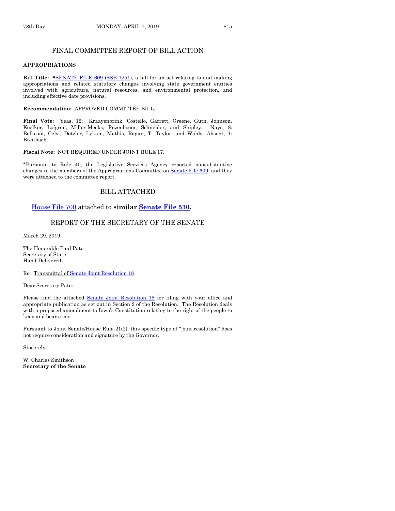# FINAL COMMITTEE REPORT OF BILL ACTION

#### **APPROPRIATIONS**

**Bill Title: \***[SENATE FILE](https://www.legis.iowa.gov/legislation/BillBook?ga=88&ba=SF609) 609 [\(SSB 1251\)](https://www.legis.iowa.gov/legislation/BillBook?ga=88&ba=SSB1251), a bill for an act relating to and making appropriations and related statutory changes involving state government entities involved with agriculture, natural resources, and environmental protection, and including effective date provisions.

#### **Recommendation:** APPROVED COMMITTEE BILL.

**Final Vote:** Yeas, 12: Kraayenbrink, Costello, Garrett, Greene, Guth, Johnson, Koelker, Lofgren, Miller-Meeks, Rozenboom, Schneider, and Shipley. Nays, 8: Bolkcom, Celsi, Dotzler, Lykam, Mathis, Ragan, T. Taylor, and Wahls. Absent, 1: Breitbach.

#### **Fiscal Note:** NOT REQUIRED UNDER JOINT RULE 17.

\*Pursuant to Rule 40, the Legislative Services Agency reported nonsubstantive changes to the members of the Appropriations Committee on Senate [File 609,](https://www.legis.iowa.gov/legislation/BillBook?ga=88&ba=SF609) and they were attached to the committee report.

# BILL ATTACHED

#### [House File 700](https://www.legis.iowa.gov/legislation/BillBook?ga=88&ba=HF700) attached to **similar [Senate File 530.](https://www.legis.iowa.gov/legislation/BillBook?ga=88&ba=SF530)**

#### REPORT OF THE SECRETARY OF THE SENATE

March 29, 2019

The Honorable Paul Pate Secretary of State Hand-Delivered

Re: Transmittal o[f Senate Joint Resolution 18](https://www.legis.iowa.gov/legislation/BillBook?ga=88&ba=SJR18)

Dear Secretary Pate:

Please find the attached [Senate Joint Resolution 18](https://www.legis.iowa.gov/legislation/BillBook?ga=88&ba=SJR18) for filing with your office and appropriate publication as set out in Section 2 of the Resolution. The Resolution deals with a proposed amendment to Iowa's Constitution relating to the right of the people to keep and bear arms.

Pursuant to Joint Senate/House Rule 21(2), this specific type of "joint resolution" does not require consideration and signature by the Governor.

Sincerely,

W. Charles Smithson **Secretary of the Senate**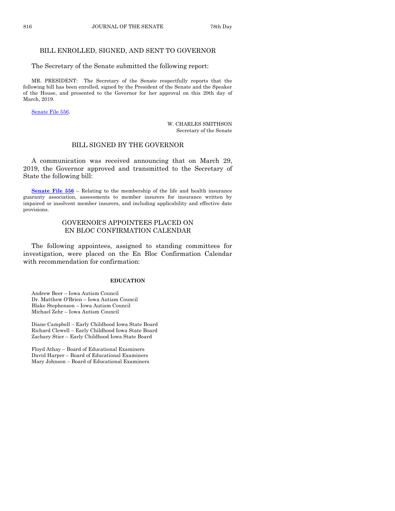# BILL ENROLLED, SIGNED, AND SENT TO GOVERNOR

The Secretary of the Senate submitted the following report:

MR. PRESIDENT: The Secretary of the Senate respectfully reports that the following bill has been enrolled, signed by the President of the Senate and the Speaker of the House, and presented to the Governor for her approval on this 29th day of March, 2019.

[Senate File](https://www.legis.iowa.gov/legislation/BillBook?ga=88&ba=SF556) 556.

W. CHARLES SMITHSON Secretary of the Senate

# BILL SIGNED BY THE GOVERNOR

A communication was received announcing that on March 29, 2019, the Governor approved and transmitted to the Secretary of State the following bill:

**[Senate File 556](https://www.legis.iowa.gov/legislation/BillBook?ga=88&ba=SF556)** – Relating to the membership of the life and health insurance guaranty association, assessments to member insurers for insurance written by impaired or insolvent member insurers, and including applicability and effective date provisions.

# GOVERNOR'S APPOINTEES PLACED ON EN BLOC CONFIRMATION CALENDAR

The following appointees, assigned to standing committees for investigation, were placed on the En Bloc Confirmation Calendar with recommendation for confirmation:

#### **EDUCATION**

Andrew Beer – Iowa Autism Council Dr. Matthew O'Brien – Iowa Autism Council Blake Stephenson – Iowa Autism Council Michael Zehr – Iowa Autism Council

Diane Campbell – Early Childhood Iowa State Board Richard Clewell – Early Childhood Iowa State Board Zachary Stier – Early Childhood Iowa State Board

Floyd Athay – Board of Educational Examiners David Harper – Board of Educational Examiners Mary Johnson – Board of Educational Examiners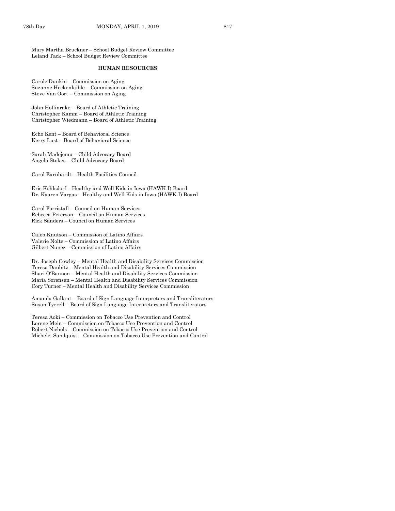Mary Martha Bruckner – School Budget Review Committee Leland Tack – School Budget Review Committee

#### **HUMAN RESOURCES**

Carole Dunkin – Commission on Aging Suzanne Heckenlaible – Commission on Aging Steve Van Oort – Commission on Aging

John Hollinrake – Board of Athletic Training Christopher Kamm – Board of Athletic Training Christopher Wiedmann – Board of Athletic Training

Echo Kent – Board of Behavioral Science Kerry Lust – Board of Behavioral Science

Sarah Madojemu – Child Advocacy Board Angela Stokes – Child Advocacy Board

Carol Earnhardt – Health Facilities Council

Eric Kohlsdorf – Healthy and Well Kids in Iowa (HAWK-I) Board Dr. Kaaren Vargas – Healthy and Well Kids in Iowa (HAWK-I) Board

Carol Forristall – Council on Human Services Rebecca Peterson – Council on Human Services Rick Sanders – Council on Human Services

Caleb Knutson – Commission of Latino Affairs Valerie Nolte – Commission of Latino Affairs Gilbert Nunez – Commission of Latino Affairs

Dr. Joseph Cowley – Mental Health and Disability Services Commission Teresa Daubitz – Mental Health and Disability Services Commission Shari O'Bannon – Mental Health and Disability Services Commission Maria Sorensen – Mental Health and Disability Services Commission Cory Turner – Mental Health and Disability Services Commission

Amanda Gallant – Board of Sign Language Interpreters and Transliterators Susan Tyrrell – Board of Sign Language Interpreters and Transliterators

Teresa Aoki – Commission on Tobacco Use Prevention and Control Lorene Mein – Commission on Tobacco Use Prevention and Control Robert Nichols – Commission on Tobacco Use Prevention and Control Michele Sandquist – Commission on Tobacco Use Prevention and Control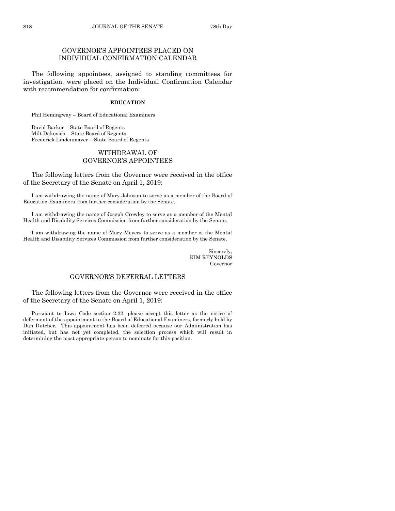# GOVERNOR'S APPOINTEES PLACED ON INDIVIDUAL CONFIRMATION CALENDAR

The following appointees, assigned to standing committees for investigation, were placed on the Individual Confirmation Calendar with recommendation for confirmation:

#### **EDUCATION**

Phil Hemingway – Board of Educational Examiners

David Barker – State Board of Regents Milt Dakovich – State Board of Regents Frederick Lindenmayer – State Board of Regents

## WITHDRAWAL OF GOVERNOR'S APPOINTEES

The following letters from the Governor were received in the office of the Secretary of the Senate on April 1, 2019:

I am withdrawing the name of Mary Johnson to serve as a member of the Board of Education Examiners from further consideration by the Senate.

I am withdrawing the name of Joseph Crowley to serve as a member of the Mental Health and Disability Services Commission from further consideration by the Senate.

I am withdrawing the name of Mary Meyers to serve as a member of the Mental Health and Disability Services Commission from further consideration by the Senate.

> Sincerely, KIM REYNOLDS Governor

# GOVERNOR'S DEFERRAL LETTERS

The following letters from the Governor were received in the office of the Secretary of the Senate on April 1, 2019:

Pursuant to Iowa Code section 2.32, please accept this letter as the notice of deferment of the appointment to the Board of Educational Examiners, formerly held by Dan Dutcher. This appointment has been deferred because our Administration has initiated, but has not yet completed, the selection process which will result in determining the most appropriate person to nominate for this position.